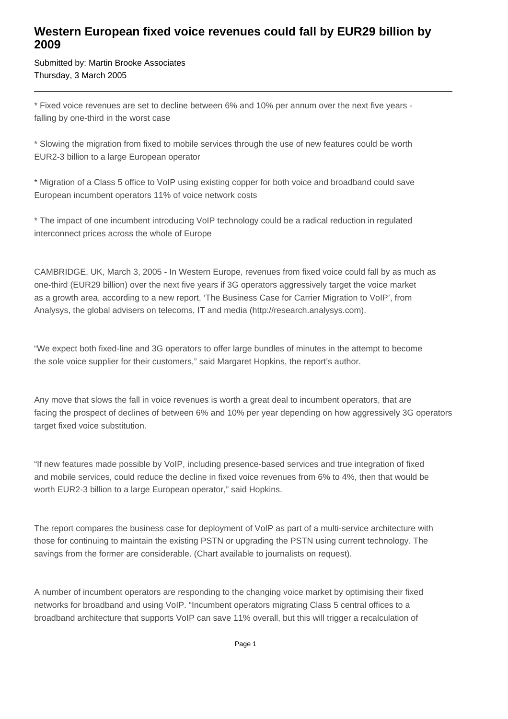## **Western European fixed voice revenues could fall by EUR29 billion by 2009**

Submitted by: Martin Brooke Associates Thursday, 3 March 2005

\* Fixed voice revenues are set to decline between 6% and 10% per annum over the next five years falling by one-third in the worst case

\* Slowing the migration from fixed to mobile services through the use of new features could be worth EUR2-3 billion to a large European operator

\* Migration of a Class 5 office to VoIP using existing copper for both voice and broadband could save European incumbent operators 11% of voice network costs

\* The impact of one incumbent introducing VoIP technology could be a radical reduction in regulated interconnect prices across the whole of Europe

CAMBRIDGE, UK, March 3, 2005 - In Western Europe, revenues from fixed voice could fall by as much as one-third (EUR29 billion) over the next five years if 3G operators aggressively target the voice market as a growth area, according to a new report, 'The Business Case for Carrier Migration to VoIP', from Analysys, the global advisers on telecoms, IT and media (http://research.analysys.com).

"We expect both fixed-line and 3G operators to offer large bundles of minutes in the attempt to become the sole voice supplier for their customers," said Margaret Hopkins, the report's author.

Any move that slows the fall in voice revenues is worth a great deal to incumbent operators, that are facing the prospect of declines of between 6% and 10% per year depending on how aggressively 3G operators target fixed voice substitution.

"If new features made possible by VoIP, including presence-based services and true integration of fixed and mobile services, could reduce the decline in fixed voice revenues from 6% to 4%, then that would be worth EUR2-3 billion to a large European operator," said Hopkins.

The report compares the business case for deployment of VoIP as part of a multi-service architecture with those for continuing to maintain the existing PSTN or upgrading the PSTN using current technology. The savings from the former are considerable. (Chart available to journalists on request).

A number of incumbent operators are responding to the changing voice market by optimising their fixed networks for broadband and using VoIP. "Incumbent operators migrating Class 5 central offices to a broadband architecture that supports VoIP can save 11% overall, but this will trigger a recalculation of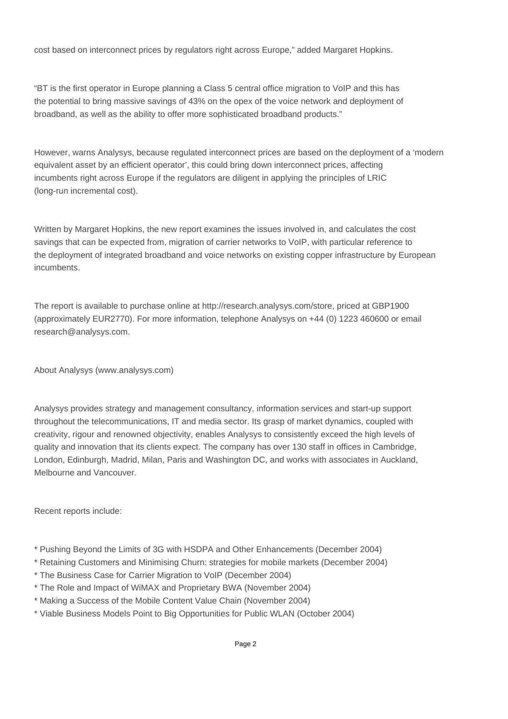cost based on interconnect prices by regulators right across Europe," added Margaret Hopkins.

"BT is the first operator in Europe planning a Class 5 central office migration to VoIP and this has the potential to bring massive savings of 43% on the opex of the voice network and deployment of broadband, as well as the ability to offer more sophisticated broadband products."

However, warns Analysys, because regulated interconnect prices are based on the deployment of a 'modern equivalent asset by an efficient operator', this could bring down interconnect prices, affecting incumbents right across Europe if the regulators are diligent in applying the principles of LRIC (long-run incremental cost).

Written by Margaret Hopkins, the new report examines the issues involved in, and calculates the cost savings that can be expected from, migration of carrier networks to VoIP, with particular reference to the deployment of integrated broadband and voice networks on existing copper infrastructure by European incumbents.

The report is available to purchase online at http://research.analysys.com/store, priced at GBP1900 (approximately EUR2770). For more information, telephone Analysys on +44 (0) 1223 460600 or email research@analysys.com.

About Analysys (www.analysys.com)

Analysys provides strategy and management consultancy, information services and start-up support throughout the telecommunications, IT and media sector. Its grasp of market dynamics, coupled with creativity, rigour and renowned objectivity, enables Analysys to consistently exceed the high levels of quality and innovation that its clients expect. The company has over 130 staff in offices in Cambridge, London, Edinburgh, Madrid, Milan, Paris and Washington DC, and works with associates in Auckland, Melbourne and Vancouver.

Recent reports include:

- \* Pushing Beyond the Limits of 3G with HSDPA and Other Enhancements (December 2004)
- \* Retaining Customers and Minimising Churn: strategies for mobile markets (December 2004)
- \* The Business Case for Carrier Migration to VoIP (December 2004)
- \* The Role and Impact of WiMAX and Proprietary BWA (November 2004)
- \* Making a Success of the Mobile Content Value Chain (November 2004)
- \* Viable Business Models Point to Big Opportunities for Public WLAN (October 2004)